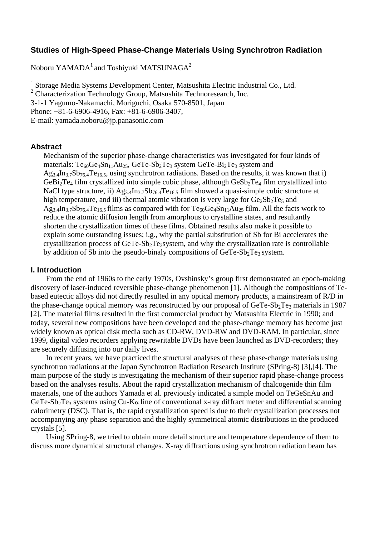# **Studies of High-Speed Phase-Change Materials Using Synchrotron Radiation**

Noboru YAMADA<sup>1</sup> and Toshiyuki MATSUNAGA<sup>2</sup>

<sup>1</sup> Storage Media Systems Development Center, Matsushita Electric Industrial Co., Ltd. <sup>2</sup> Characterization Technology Group, Matsushita Technoresearch, Inc. 3-1-1 Yagumo-Nakamachi, Moriguchi, Osaka 570-8501, Japan Phone: +81-6-6906-4916, Fax: +81-6-6906-3407, E-mail: yamada.noboru@jp.panasonic.com

### **Abstract**

Mechanism of the superior phase-change characteristics was investigated for four kinds of materials:  $Te_{60}Ge_4Sn_{11}Au_{25}$ ,  $GeTe-Sb_2Te_3$  system  $GeTe-Bi_2Te_3$  system and  $Ag_{3.4}In_{3.7}Sb_{76.4}Te_{16.5}$ , using synchrotron radiations. Based on the results, it was known that i)  $GeBi<sub>2</sub>Te<sub>4</sub>$  film crystallized into simple cubic phase, although  $GeSb<sub>2</sub>Te<sub>4</sub>$  film crystallized into NaCl type structure, ii)  $Ag_{3.4}In_{3.7}Sb_{76.4}Te_{16.5}$  film showed a quasi-simple cubic structure at high temperature, and iii) thermal atomic vibration is very large for  $Ge_2Sb_2Te_5$  and  $Ag_{3.4}In_{3.7}Sb_{76.4}Te_{16.5}$  films as compared with for  $Te_{60}Ge_4Sn_{11}Au_{25}$  film. All the facts work to reduce the atomic diffusion length from amorphous to crystalline states, and resultantly shorten the crystallization times of these films. Obtained results also make it possible to explain some outstanding issues; i.g., why the partial substitution of Sb for Bi accelerates the crystallization process of  $GeTe-Sb<sub>2</sub>Te<sub>3</sub>$  system, and why the crystallization rate is controllable by addition of Sb into the pseudo-binaly compositions of  $GeTe-Sb<sub>2</sub>Te<sub>3</sub>$  system.

### **I. Introduction**

From the end of 1960s to the early 1970s, Ovshinsky's group first demonstrated an epoch-making discovery of laser-induced reversible phase-change phenomenon [1]. Although the compositions of Tebased eutectic alloys did not directly resulted in any optical memory products, a mainstream of R/D in the phase-change optical memory was reconstructed by our proposal of  $GeTe-Sb<sub>2</sub>Te<sub>3</sub>$  materials in 1987 [2]. The material films resulted in the first commercial product by Matsushita Electric in 1990; and today, several new compositions have been developed and the phase-change memory has become just widely known as optical disk media such as CD-RW, DVD-RW and DVD-RAM. In particular, since 1999, digital video recorders applying rewritable DVDs have been launched as DVD-recorders; they are securely diffusing into our daily lives.

In recent years, we have practiced the structural analyses of these phase-change materials using synchrotron radiations at the Japan Synchrotron Radiation Research Institute (SPring-8) [3],[4]. The main purpose of the study is investigating the mechanism of their superior rapid phase-change process based on the analyses results. About the rapid crystallization mechanism of chalcogenide thin film materials, one of the authors Yamada et al. previously indicated a simple model on TeGeSnAu and GeTe-Sb<sub>2</sub>Te<sub>3</sub> systems using Cu-K $\alpha$  line of conventional x-ray diffract meter and differential scanning calorimetry (DSC). That is, the rapid crystallization speed is due to their crystallization processes not accompanying any phase separation and the highly symmetrical atomic distributions in the produced crystals [5].

Using SPring-8, we tried to obtain more detail structure and temperature dependence of them to discuss more dynamical structural changes. X-ray diffractions using synchrotron radiation beam has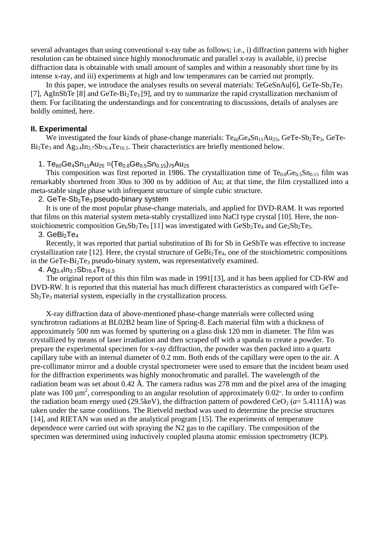several advantages than using conventional x-ray tube as follows; i.e., i) diffraction patterns with higher resolution can be obtained since highly monochromatic and parallel x-ray is available, ii) precise diffraction data is obtainable with small amount of samples and within a reasonably short time by its intense x-ray, and iii) experiments at high and low temperatures can be carried out promptly.

In this paper, we introduce the analyses results on several materials:  $TeGeSnAu[6]$ ,  $GeTe-Sb<sub>2</sub>Te<sub>3</sub>$ [7], AgInSbTe [8] and GeTe-Bi2Te3 [9], and try to summarize the rapid crystallization mechanism of them. For facilitating the understandings and for concentrating to discussions, details of analyses are boldly omitted, here.

### **II. Experimental**

We investigated the four kinds of phase-change materials:  $Te_{60}Ge_4Sn_{11}Au_{25}$ ,  $GeTe-Sb_2Te_3$ ,  $GeTe$ - $Bi<sub>2</sub>Te<sub>3</sub>$  and  $Ag<sub>3.4</sub>In<sub>3.7</sub>Sb<sub>76.4</sub>Te<sub>16.5</sub>$ . Their characteristics are briefly mentioned below.

## 1. Te<sub>60</sub>Ge<sub>4</sub>Sn<sub>11</sub>Au<sub>25</sub> = (Te<sub>0.8</sub>Ge<sub>0.5</sub>Sn<sub>0.15</sub>)<sub>75</sub>Au<sub>25</sub>

This composition was first reported in 1986. The crystallization time of  $Te_{0.8}Ge_{0.5}Sn_{0.15}$  film was remarkably shortened from 30us to 300 ns by addition of Au; at that time, the film crystallized into a meta-stable single phase with infrequent structure of simple cubic structure.

### 2. GeTe-Sb<sub>2</sub>Te<sub>3</sub> pseudo-binary system

It is one of the most popular phase-change materials, and applied for DVD-RAM. It was reported that films on this material system meta-stably crystallized into NaCl type crystal [10]. Here, the nonstoichiometric composition  $Ge_6Sb_2Te_9$  [11] was investigated with  $Ge_5Sb_2Te_4$  and  $Ge_2Sb_2Te_5$ .

# 3. GeBi $_2$ Te<sub>4</sub>

 Recently, it was reported that partial substitution of Bi for Sb in GeSbTe was effective to increase crystallization rate [12]. Here, the crystal structure of  $GeBi<sub>2</sub>Te<sub>4</sub>$ , one of the stoichiometric compositions in the GeTe-Bi<sub>2</sub>Te<sub>3</sub> pseudo-binary system, was representatively examined.

4. Ag3.4In3.7Sb76.4Te16.5

The original report of this thin film was made in 1991[13], and it has been applied for CD-RW and DVD-RW. It is reported that this material has much different characteristics as compared with GeTe-Sb2Te3 material system, especially in the crystallization process.

X-ray diffraction data of above-mentioned phase-change materials were collected using synchrotron radiations at BL02B2 beam line of Spring-8. Each material film with a thickness of approximately 500 nm was formed by sputtering on a glass disk 120 mm in diameter. The film was crystallized by means of laser irradiation and then scraped off with a spatula to create a powder. To prepare the experimental specimen for x-ray diffraction, the powder was then packed into a quartz capillary tube with an internal diameter of 0.2 mm. Both ends of the capillary were open to the air. A pre-collimator mirror and a double crystal spectrometer were used to ensure that the incident beam used for the diffraction experiments was highly monochromatic and parallel. The wavelength of the radiation beam was set about  $0.42 \text{ Å}$ . The camera radius was 278 mm and the pixel area of the imaging plate was 100  $\mu$ m<sup>2</sup>, corresponding to an angular resolution of approximately 0.02°. In order to confirm the radiation beam energy used (29.5keV), the diffraction pattern of powdered CeO<sub>2</sub> ( $a=5.4111\text{\AA}$ ) was taken under the same conditions. The Rietveld method was used to determine the precise structures [14], and RIETAN was used as the analytical program [15]. The experiments of temperature dependence were carried out with spraying the N2 gas to the capillary. The composition of the specimen was determined using inductively coupled plasma atomic emission spectrometry (ICP).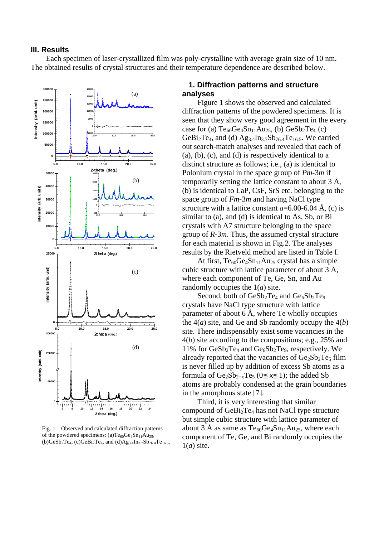#### **III. Results**

Each specimen of laser-crystallized film was poly-crystalline with average grain size of 10 nm. The obtained results of crystal structures and their temperature dependence are described below.



Fig. 1 Observed and calculated diffraction patterns of the powdered specimens: (a)Te<sub>60</sub>Ge<sub>4</sub>Sn<sub>11</sub>Au<sub>25</sub>,  $(b)$ GeSb<sub>2</sub>Te<sub>4</sub>, (c)GeBi<sub>2</sub>Te<sub>4</sub>, and (d)Ag<sub>3.4</sub>In<sub>3.7</sub>Sb<sub>76.4</sub>Te<sub>16.5</sub>.

### **1. Diffraction patterns and structure analyses**

Figure 1 shows the observed and calculated diffraction patterns of the powdered specimens. It is seen that they show very good agreement in the every case for (a)  $Te_{60}Ge_4Sn_{11}Au_{25}$ , (b)  $GeSb_2Te_4$  (c) GeBi<sub>2</sub>Te<sub>4</sub>, and (d)  $Ag_{3.4}In_{3.7}Sb_{76.4}Te_{16.5}$ . We carried out search-match analyses and revealed that each of (a), (b), (c), and (d) is respectively identical to a distinct structure as follows; i.e., (a) is identical to Polonium crystal in the space group of *Pm-*3*m* if temporarily setting the lattice constant to about 3 Å, (b) is identical to LaP, CsF, SrS etc. belonging to the space group of *Fm-*3*m* and having NaCl type structure with a lattice constant  $a=6.00-6.04 \text{ Å}$ , (c) is similar to (a), and (d) is identical to As, Sb, or Bi crystals with A7 structure belonging to the space group of *R-*3*m*. Thus, the assumed crystal structure for each material is shown in Fig.2. The analyses results by the Rietveld method are listed in Table I.

At first,  $Te_{60}Ge_4Sn_{11}Au_{25}$  crystal has a simple cubic structure with lattice parameter of about 3 Å, where each component of Te, Ge, Sn, and Au randomly occupies the 1(*a*) site.

Second, both of  $GeSb_2Te_4$  and  $Ge_6Sb_2Te_9$ crystals have NaCl type structure with lattice parameter of about 6 Å, where Te wholly occupies the  $4(a)$  site, and Ge and Sb randomly occupy the  $4(b)$ site. There indispensably exist some vacancies in the 4(*b*) site according to the compositions; e.g., 25% and 11% for  $\text{GeSb}_2\text{Te}_4$  and  $\text{Ge}_6\text{Sb}_2\text{Te}_9$ , respectively. We already reported that the vacancies of  $Ge_2Sb_2Te_5$  film is never filled up by addition of excess Sb atoms as a formula of  $Ge_2Sb_{2+x}Te_5(0 \times 1)$ ; the added Sb atoms are probably condensed at the grain boundaries in the amorphous state [7].

Third, it is very interesting that similar compound of  $GeBi<sub>2</sub>Te<sub>4</sub>$  has not NaCl type structure but simple cubic structure with lattice parameter of about 3 Å as same as  $Te_{60}Ge_4Sn_{11}Au_{25}$ , where each component of Te, Ge, and Bi randomly occupies the 1(*a*) site.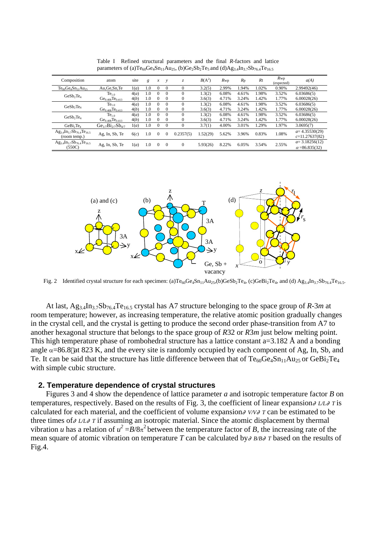| Composition                                          | atom                                    | site | g   | x        | v            | Z.           | $B(A^2)$ | $R_{\rm WP}$ | $R_{p}$ | R <sub>I</sub> | $R_{WD}$<br>(expected) | a(A)                  |
|------------------------------------------------------|-----------------------------------------|------|-----|----------|--------------|--------------|----------|--------------|---------|----------------|------------------------|-----------------------|
| $Te_{80}Ge_4Sn_{11}Au_{25}$                          | Au, Ge, Sn, Te                          | 1(a) | 1.0 | $\Omega$ | $\Omega$     | $\Omega$     | 3.2(5)   | 2.99%        | 1.94%   | 1.02%          | 0.90%                  | 2.99492(46)           |
| GeSb <sub>2</sub> Te <sub>4</sub>                    | Te <sub>1.0</sub>                       | 4(a) | 1.0 | $\Omega$ | $\Omega$     |              | 1.3(2)   | 6.08%        | 4.61%   | 1.98%          | 3.52%                  | 6.03686(5)            |
|                                                      | $Ge_{0.408}Te_{0.413}$                  | 4(b) | 1.0 | $\Omega$ | $\Omega$     | $\Omega$     | 3.6(3)   | 4.71%        | 3.24%   | 1.42%          | 1.77%                  | 6.00028(26)           |
| GeSb <sub>2</sub> Te <sub>4</sub>                    | Te <sub>1.0</sub>                       | 4(a) | 1.0 | $\Omega$ | $\Omega$     |              | 1.3(2)   | 6.08%        | 4.61%   | 1.98%          | 3.52%                  | 6.03686(5)            |
|                                                      | $Ge_{0.408}Te_{0.413}$                  | 4(b) | 1.0 | $\Omega$ | $\Omega$     | $\Omega$     | 3.6(3)   | 4.71%        | 3.24%   | 1.42%          | 1.77%                  | 6.00028(26)           |
| $GeSb$ , Te <sub>4</sub>                             | Te <sub>1.0</sub>                       | 4(a) | 1.0 | $\Omega$ | $\Omega$     |              | 1.3(2)   | 6.08%        | 4.61%   | 1.98%          | 3.52%                  | 6.03686(5)            |
|                                                      | Ge <sub>0.408</sub> Te <sub>0.413</sub> | 4(b) | 1.0 | $\Omega$ | $\Omega$     | $\Omega$     | 3.6(3)   | 4.71%        | 3.24%   | 1.42%          | 1.77%                  | 6,00028(26)           |
| GeBi <sub>2</sub> Te <sub>4</sub>                    | $Ge_{1/7}Bi_{2/7}Sb_{4/7}$              | 1(a) | 1.0 | $\Omega$ | $\Omega$     | $\Omega$     | 3.7(1)   | 4.00%        | 3.01%   | 1.29%          | 1.97%                  | 3.0695(7)             |
| $Ag_{3.4}In_{3.7}Sb_{76.4}Te_{16.5}$<br>(room temp.) | Ag, In, Sb, Te                          | 6(c) | 1.0 | $\Omega$ | $\Omega$     | 0.2357(5)    | .52(29)  | 5.62%        | 3.96%   | 0.83%          | 1.08%                  | $a=4.35530(29)$       |
|                                                      |                                         |      |     |          |              |              |          |              |         |                |                        | $c=11.27637(82)$      |
| $Ag_{3.4}In_{3.7}Sb_{76.4}Te_{16.5}$<br>(550C)       | Ag, In, Sb, Te                          | 1(a) | 1.0 | $\Omega$ | $\mathbf{0}$ | $\mathbf{0}$ | 5.93(26) | 8.22%        | 6.05%   | 3.54%          | 2.55%                  | $a=3.18256(12)$       |
|                                                      |                                         |      |     |          |              |              |          |              |         |                |                        | $\alpha = 86.835(32)$ |

Table I Refined structural parameters and the final *R*-factors and lattice parameters of (a)Te<sub>60</sub>Ge<sub>4</sub>Sn<sub>11</sub>Au<sub>25</sub>, (b)Ge<sub>2</sub>Sb<sub>2</sub>Te<sub>5</sub> and (d)Ag<sub>3.4</sub>In<sub>3.7</sub>Sb<sub>76.4</sub>Te<sub>16.5</sub>



Fig. 2 Identified crystal structure for each specimen: (a)Te<sub>60</sub>Ge<sub>4</sub>Sn<sub>11</sub>Au<sub>25</sub>,(b)GeSb<sub>2</sub>Te<sub>4</sub>, (c)GeBi<sub>2</sub>Te<sub>4</sub>, and (d) Ag<sub>3.4</sub>In<sub>3.7</sub>Sb<sub>76.4</sub>Te<sub>16.5</sub>.

At last, Ag<sub>3.4</sub>In<sub>3.7</sub>Sb<sub>76.4</sub>Te<sub>16.5</sub> crystal has A7 structure belonging to the space group of *R*-3*m* at room temperature; however, as increasing temperature, the relative atomic position gradually changes in the crystal cell, and the crystal is getting to produce the second order phase-transition from A7 to another hexagonal structure that belongs to the space group of *R*32 or *R*3*m* just below melting point. This high temperature phase of rombohedral structure has a lattice constant  $a=3.182$  Å and a bonding angle  $\alpha$ =86.8 at 823 K, and the every site is randomly occupied by each component of Ag, In, Sb, and Te. It can be said that the structure has little difference between that of  $Te_{60}Ge_4Sn_{11}Au_{25}$  or  $GeBi_2Te_4$ with simple cubic structure.

#### **2. Temperature dependence of crystal structures**

Figures 3 and 4 show the dependence of lattice parameter *a* and isotropic temperature factor *B* on temperatures, respectively. Based on the results of Fig. 3, the coefficient of linear expansion *L/L T* is calculated for each material, and the coefficient of volume expansion *V/V T* can be estimated to be three times of *L/L T* if assuming an isotropic material. Since the atomic displacement by thermal vibration *u* has a relation of  $u^2 = B/8\pi^2$  between the temperature factor of *B*, the increasing rate of the mean square of atomic vibration on temperature *T* can be calculated by *B/B T* based on the results of Fig.4.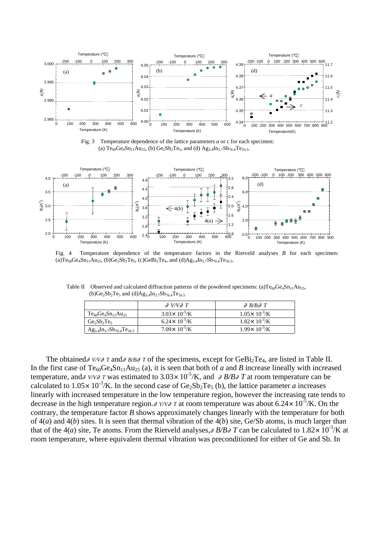

Fig. 3 Temperature dependence of the lattice parameters *a* or c for each specimen: (a)  $Te_{60}Ge_4Sn_{11}Au_{25}$ , (b)  $Ge_2Sb_2Te_5$ , and (d)  $Ag_{3.4}In_{3.7}Sb_{76.4}Te_{16.5}$ .



Fig. 4 Temperature dependence of the temperature factors in the Rietveld analyses *B* for each specimen: (a)Te<sub>60</sub>Ge<sub>4</sub>Sn<sub>11</sub>Au<sub>25</sub>, (b)Ge<sub>2</sub>Sb<sub>2</sub>Te<sub>5</sub>, (c)GeBi<sub>2</sub>Te<sub>4</sub>, and (d)Ag<sub>3.4</sub>In<sub>3.7</sub>Sb<sub>76.4</sub>Te<sub>16.5</sub>.

Table II Observed and calculated diffraction patterns of the powdered specimens: (a)Te<sub>60</sub>Ge<sub>4</sub>Sn<sub>11</sub>Au<sub>25</sub>,  $(b)Ge_2Sb_2Te_5$  and  $(d)Ag_{3,4}In_{3,7}Sb_{76,4}Te_{16,5}$ 

|                                      | $V/V$ T                           | $B/B$ T                  |
|--------------------------------------|-----------------------------------|--------------------------|
| $Te_{60}Ge_4Sn_{11}Au_{25}$          | $3.03 \times 10^{-5}$ /K          | $1.05\times 10^{-3}$ /K  |
| $Ge_2Sb_2Te_5$                       | 6.24 $\times$ 10 <sup>-5</sup> /K | $1.82 \times 10^{-3}$ /K |
| $Ag_{3.4}In_{3.7}Sb_{76.4}Te_{16.5}$ | $7.09\times 10^{-5}$ /K           | $1.99 \times 10^{-3}$ /K |

The obtained *V/V*  $T$  and *B/B*  $T$  of the specimens, except for GeBi<sub>2</sub>Te<sub>4</sub>, are listed in Table II. In the first case of  $Te_{60}Ge_4Sn_{11}Au_{25}$  (a), it is seen that both of *a* and *B* increase lineally with increased temperature, and *V/V T* was estimated to 3.03 $\times$  10<sup>-5</sup>/K, and *B/B T* at room temperature can be calculated to  $1.05 \times 10^{-3}$ /K. In the second case of Ge<sub>2</sub>Sb<sub>2</sub>Te<sub>5</sub> (b), the lattice parameter *a* increases linearly with increased temperature in the low temperature region, however the increasing rate tends to decrease in the high temperature region. *V/V T* at room temperature was about 6.24 $\times$  10<sup>-5</sup>/K. On the contrary, the temperature factor *B* shows approximately changes linearly with the temperature for both of 4(*a*) and 4(*b*) sites. It is seen that thermal vibration of the 4(*b*) site, Ge/Sb atoms, is much larger than that of the 4(*a*) site, Te atoms. From the Rietveld analyses, *B*/*B T* can be calculated to 1.82 $\times$  10<sup>-3</sup>/K at room temperature, where equivalent thermal vibration was preconditioned for either of Ge and Sb. In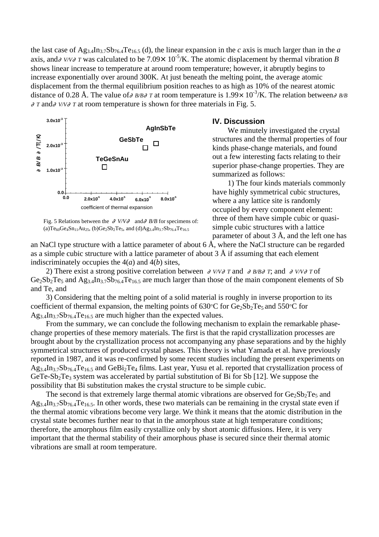the last case of  $Ag_{3,4}In_{3,7}Sb_{76,4}Te_{16,5}$  (d), the linear expansion in the *c* axis is much larger than in the *a* axis, and *V/V T* was calculated to be 7.09 $\times$  10<sup>-5</sup>/K. The atomic displacement by thermal vibration *B* shows linear increase to temperature at around room temperature; however, it abruptly begins to increase exponentially over around 300K. At just beneath the melting point, the average atomic displacement from the thermal equilibrium position reaches to as high as 10% of the nearest atomic distance of 0.28 Å. The value of *B/B T* at room temperature is  $1.99 \times 10^{-3}$ /K. The relation between *B/B T* and *V/V T* at room temperature is shown for three materials in Fig. 5.

**3.0x10-3AgInSbTe** ∂*B/ B* ∂/T(/K)  $\pi$ (K) **GeSbTe**  $\Box$ **2.0x10-3**  $\mathbf a$ **TeGeSnAu** ă  $\Box$ **1.0x10-3 0.0 0.0 2.0x10-5 4.0x10-5 6.0x10-5 8.0x10-5** coefficient of thermal expansion

Fig. 5 Relations between the *V/V* and *B/B* for specimens of: (a)Te<sub>60</sub>Ge<sub>4</sub>Sn<sub>11</sub>Au<sub>25</sub>, (b)Ge<sub>2</sub>Sb<sub>2</sub>Te<sub>5</sub>, and (d)Ag<sub>3.4</sub>In<sub>3.7</sub>Sb<sub>76.4</sub>Te<sub>16.5</sub>

### **IV. Discussion**

We minutely investigated the crystal structures and the thermal properties of four kinds phase-change materials, and found out a few interesting facts relating to their superior phase-change properties. They are summarized as follows:

1) The four kinds materials commonly have highly symmetrical cubic structures, where a any lattice site is randomly occupied by every component element: three of them have simple cubic or quasisimple cubic structures with a lattice parameter of about  $3 \text{ Å}$ , and the left one has

an NaCl type structure with a lattice parameter of about 6  $\AA$ , where the NaCl structure can be regarded as a simple cubic structure with a lattice parameter of about 3 Å if assuming that each element indiscriminately occupies the 4(*a*) and 4(*b*) sites,

2) There exist a strong positive correlation between *V/V T* and *B/B T*; and *V/V T* of  $Ge_2Sb_2Te_5$  and  $Ag_{3.4}In_{3.7}Sb_{76.4}Te_{16.5}$  are much larger than those of the main component elements of Sb and Te, and

3) Considering that the melting point of a solid material is roughly in inverse proportion to its coefficient of thermal expansion, the melting points of  $630^{\circ}$ C for  $Ge_2Sb_2Te_5$  and  $550^{\circ}$ C for  $Ag_{3.4}In_{3.7}Sb_{76.4}Te_{16.5}$  are much higher than the expected values.

From the summary, we can conclude the following mechanism to explain the remarkable phasechange properties of these memory materials. The first is that the rapid crystallization processes are brought about by the crystallization process not accompanying any phase separations and by the highly symmetrical structures of produced crystal phases. This theory is what Yamada et al. have previously reported in 1987, and it was re-confirmed by some recent studies including the present experiments on  $Ag_{3.4}In_{3.7}Sb_{76.4}Te_{16.5}$  and  $GeBi_2Te_4$  films. Last year, Yusu et al. reported that crystallization process of GeTe-Sb<sub>2</sub>Te<sub>3</sub> system was accelerated by partial substitution of Bi for Sb [12]. We suppose the possibility that Bi substitution makes the crystal structure to be simple cubic.

The second is that extremely large thermal atomic vibrations are observed for  $Ge_2Sb_2Te_5$  and  $Ag_{3.4}In_{3.7}Sb_{76.4}Te_{16.5}$ . In other words, these two materials can be remaining in the crystal state even if the thermal atomic vibrations become very large. We think it means that the atomic distribution in the crystal state becomes further near to that in the amorphous state at high temperature conditions; therefore, the amorphous film easily crystallize only by short atomic diffusions. Here, it is very important that the thermal stability of their amorphous phase is secured since their thermal atomic vibrations are small at room temperature.